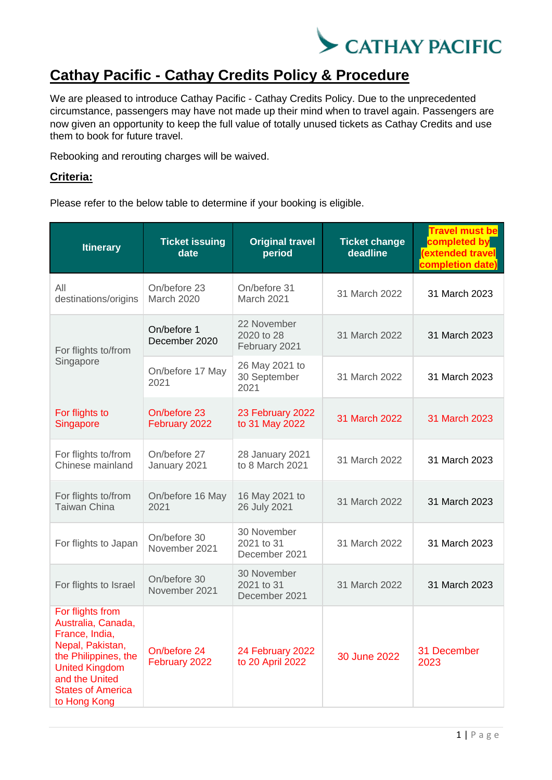

# **Cathay Pacific - Cathay Credits Policy & Procedure**

We are pleased to introduce Cathay Pacific - Cathay Credits Policy. Due to the unprecedented circumstance, passengers may have not made up their mind when to travel again. Passengers are now given an opportunity to keep the full value of totally unused tickets as Cathay Credits and use them to book for future travel.

Rebooking and rerouting charges will be waived.

# **Criteria:**

Please refer to the below table to determine if your booking is eligible.

| <b>Itinerary</b>                                                                                                                                                                            | <b>Ticket issuing</b><br>date | <b>Original travel</b><br>period           | <b>Ticket change</b><br>deadline | <b>Travel must be</b><br>completed by<br>extended travel<br><b>completion date)</b> |
|---------------------------------------------------------------------------------------------------------------------------------------------------------------------------------------------|-------------------------------|--------------------------------------------|----------------------------------|-------------------------------------------------------------------------------------|
| All<br>destinations/origins                                                                                                                                                                 | On/before 23<br>March 2020    | On/before 31<br>March 2021                 | 31 March 2022                    | 31 March 2023                                                                       |
| For flights to/from<br>Singapore                                                                                                                                                            | On/before 1<br>December 2020  | 22 November<br>2020 to 28<br>February 2021 | 31 March 2022                    | 31 March 2023                                                                       |
|                                                                                                                                                                                             | On/before 17 May<br>2021      | 26 May 2021 to<br>30 September<br>2021     | 31 March 2022                    | 31 March 2023                                                                       |
| For flights to<br>Singapore                                                                                                                                                                 | On/before 23<br>February 2022 | 23 February 2022<br>to 31 May 2022         | 31 March 2022                    | 31 March 2023                                                                       |
| For flights to/from<br>Chinese mainland                                                                                                                                                     | On/before 27<br>January 2021  | 28 January 2021<br>to 8 March 2021         | 31 March 2022                    | 31 March 2023                                                                       |
| For flights to/from<br><b>Taiwan China</b>                                                                                                                                                  | On/before 16 May<br>2021      | 16 May 2021 to<br>26 July 2021             | 31 March 2022                    | 31 March 2023                                                                       |
| For flights to Japan                                                                                                                                                                        | On/before 30<br>November 2021 | 30 November<br>2021 to 31<br>December 2021 | 31 March 2022                    | 31 March 2023                                                                       |
| For flights to Israel                                                                                                                                                                       | On/before 30<br>November 2021 | 30 November<br>2021 to 31<br>December 2021 | 31 March 2022                    | 31 March 2023                                                                       |
| For flights from<br>Australia, Canada,<br>France, India,<br>Nepal, Pakistan,<br>the Philippines, the<br><b>United Kingdom</b><br>and the United<br><b>States of America</b><br>to Hong Kong | On/before 24<br>February 2022 | 24 February 2022<br>to 20 April 2022       | 30 June 2022                     | 31 December<br>2023                                                                 |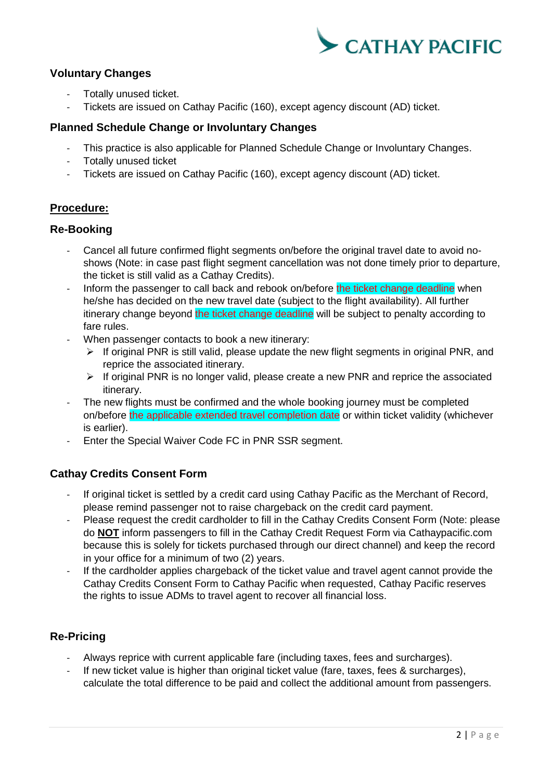

## **Voluntary Changes**

- Totally unused ticket.
- Tickets are issued on Cathay Pacific (160), except agency discount (AD) ticket.

## **Planned Schedule Change or Involuntary Changes**

- This practice is also applicable for Planned Schedule Change or Involuntary Changes.
- Totally unused ticket
- Tickets are issued on Cathay Pacific (160), except agency discount (AD) ticket.

## **Procedure:**

## **Re-Booking**

- Cancel all future confirmed flight segments on/before the original travel date to avoid noshows (Note: in case past flight segment cancellation was not done timely prior to departure, the ticket is still valid as a Cathay Credits).
- Inform the passenger to call back and rebook on/before the ticket change deadline when he/she has decided on the new travel date (subject to the flight availability). All further itinerary change beyond the ticket change deadline will be subject to penalty according to fare rules.
- When passenger contacts to book a new itinerary:
	- $\triangleright$  If original PNR is still valid, please update the new flight segments in original PNR, and reprice the associated itinerary.
	- $\triangleright$  If original PNR is no longer valid, please create a new PNR and reprice the associated itinerary.
- The new flights must be confirmed and the whole booking journey must be completed on/before the applicable extended travel completion date or within ticket validity (whichever is earlier).
- Enter the Special Waiver Code FC in PNR SSR segment.

# **Cathay Credits Consent Form**

- If original ticket is settled by a credit card using Cathay Pacific as the Merchant of Record, please remind passenger not to raise chargeback on the credit card payment.
- Please request the credit cardholder to fill in the Cathay Credits Consent Form (Note: please do **NOT** inform passengers to fill in the Cathay Credit Request Form via Cathaypacific.com because this is solely for tickets purchased through our direct channel) and keep the record in your office for a minimum of two (2) years.
- If the cardholder applies chargeback of the ticket value and travel agent cannot provide the Cathay Credits Consent Form to Cathay Pacific when requested, Cathay Pacific reserves the rights to issue ADMs to travel agent to recover all financial loss.

# **Re-Pricing**

- Always reprice with current applicable fare (including taxes, fees and surcharges).
- If new ticket value is higher than original ticket value (fare, taxes, fees & surcharges). calculate the total difference to be paid and collect the additional amount from passengers.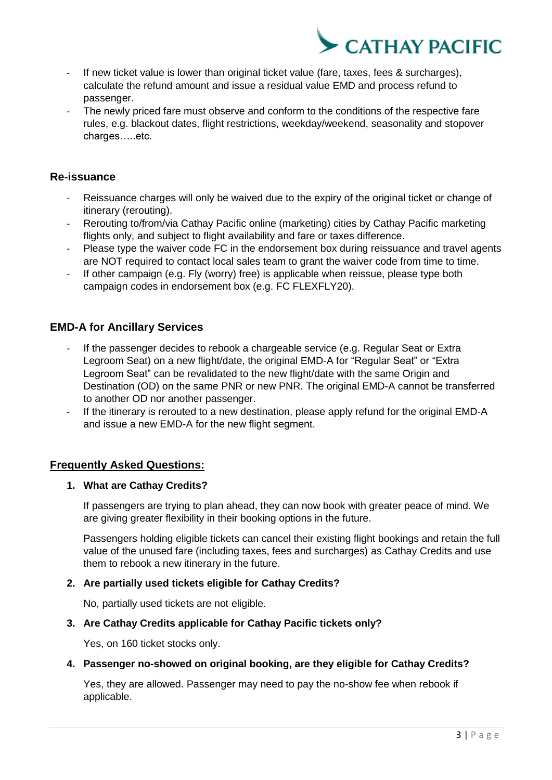

- If new ticket value is lower than original ticket value (fare, taxes, fees & surcharges), calculate the refund amount and issue a residual value EMD and process refund to passenger.
- The newly priced fare must observe and conform to the conditions of the respective fare rules, e.g. blackout dates, flight restrictions, weekday/weekend, seasonality and stopover charges…..etc.

#### **Re-issuance**

- Reissuance charges will only be waived due to the expiry of the original ticket or change of itinerary (rerouting).
- Rerouting to/from/via Cathay Pacific online (marketing) cities by Cathay Pacific marketing flights only, and subject to flight availability and fare or taxes difference.
- Please type the waiver code FC in the endorsement box during reissuance and travel agents are NOT required to contact local sales team to grant the waiver code from time to time.
- If other campaign (e.g. Fly (worry) free) is applicable when reissue, please type both campaign codes in endorsement box (e.g. FC FLEXFLY20).

## **EMD-A for Ancillary Services**

- If the passenger decides to rebook a chargeable service (e.g. Regular Seat or Extra Legroom Seat) on a new flight/date, the original EMD-A for "Regular Seat" or "Extra Legroom Seat" can be revalidated to the new flight/date with the same Origin and Destination (OD) on the same PNR or new PNR. The original EMD-A cannot be transferred to another OD nor another passenger.
- If the itinerary is rerouted to a new destination, please apply refund for the original EMD-A and issue a new EMD-A for the new flight segment.

## **Frequently Asked Questions:**

#### **1. What are Cathay Credits?**

If passengers are trying to plan ahead, they can now book with greater peace of mind. We are giving greater flexibility in their booking options in the future.

Passengers holding eligible tickets can cancel their existing flight bookings and retain the full value of the unused fare (including taxes, fees and surcharges) as Cathay Credits and use them to rebook a new itinerary in the future.

#### **2. Are partially used tickets eligible for Cathay Credits?**

No, partially used tickets are not eligible.

#### **3. Are Cathay Credits applicable for Cathay Pacific tickets only?**

Yes, on 160 ticket stocks only.

#### **4. Passenger no-showed on original booking, are they eligible for Cathay Credits?**

Yes, they are allowed. Passenger may need to pay the no-show fee when rebook if applicable.